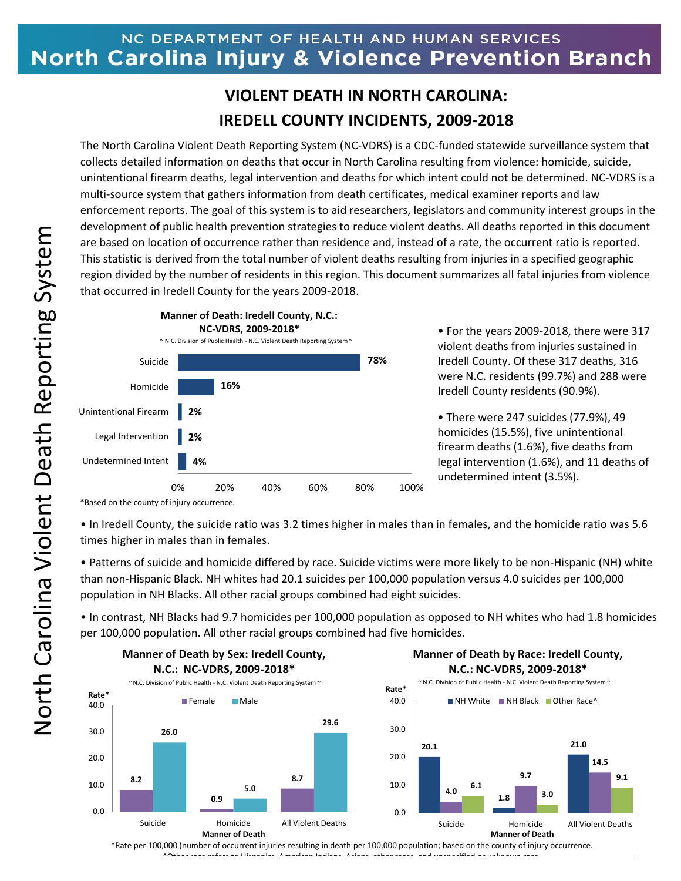## NC DEPARTMENT OF HEALTH AND HUMAN SERVICES North Carolina Injury & Violence Prevention Branch

## **VIOLENT DEATH IN NORTH CAROLINA: IREDELL COUNTY INCIDENTS, 2009-2018**

The North Carolina Violent Death Reporting System (NC-VDRS) is a CDC-funded statewide surveillance system that collects detailed information on deaths that occur in North Carolina resulting from violence: homicide, suicide, unintentional firearm deaths, legal intervention and deaths for which intent could not be determined. NC-VDRS is a multi-source system that gathers information from death certificates, medical examiner reports and law enforcement reports. The goal of this system is to aid researchers, legislators and community interest groups in the development of public health prevention strategies to reduce violent deaths. All deaths reported in this document are based on location of occurrence rather than residence and, instead of a rate, the occurrent ratio is reported. This statistic is derived from the total number of violent deaths resulting from injuries in a specified geographic region divided by the number of residents in this region. This document summarizes all fatal injuries from violence that occurred in Iredell County for the years 2009-2018.



• For the years 2009-2018, there were 317 violent deaths from injuries sustained in Iredell County. Of these 317 deaths, 316 were N.C. residents (99.7%) and 288 were Iredell County residents (90.9%).

• There were 247 suicides (77.9%), 49 homicides (15.5%), five unintentional firearm deaths (1.6%), five deaths from legal intervention (1.6%), and 11 deaths of undetermined intent (3.5%).

**14.5**

**9.1**

\*Based on the county of injury occurrence.

• In Iredell County, the suicide ratio was 3.2 times higher in males than in females, and the homicide ratio was 5.6 times higher in males than in females.

• Patterns of suicide and homicide differed by race. Suicide victims were more likely to be non-Hispanic (NH) white than non-Hispanic Black. NH whites had 20.1 suicides per 100,000 population versus 4.0 suicides per 100,000 population in NH Blacks. All other racial groups combined had eight suicides.

• In contrast, NH Blacks had 9.7 homicides per 100,000 population as opposed to NH whites who had 1.8 homicides per 100,000 population. All other racial groups combined had five homicides.



\*Rate per 100,000 (number of occurrent injuries resulting in death per 100,000 population; based on the county of injury occurrence. ^Other race refers to Hispanics, American Indians, Asians, other races, and unspecified or unknown race.